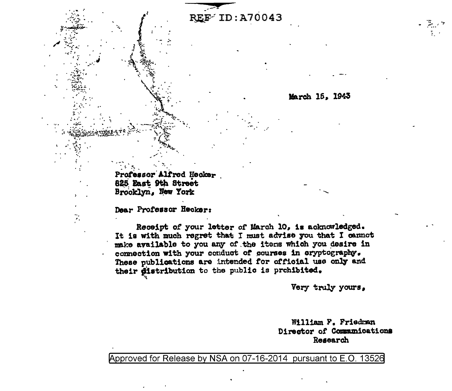**REF ID: A70043** 

March 15, 1943

Professor Alfred Hecker 825 East 9th Street Brooklyn, New York

Dear Professor Hecker:

D,

Receipt of your letter of March 10, is acknowledged. It is with much regret that I must advise you that I cannot make available to you any of the items which you desire in connection with your conduct of courses in cryptography. These publications are intended for official use only and their distribution to the public is prehibited.

Very truly yours,

William F. Friedman Director of Communications Research

Approved for Release by NSA on 07-16-2014 pursuant to E.O. 13526